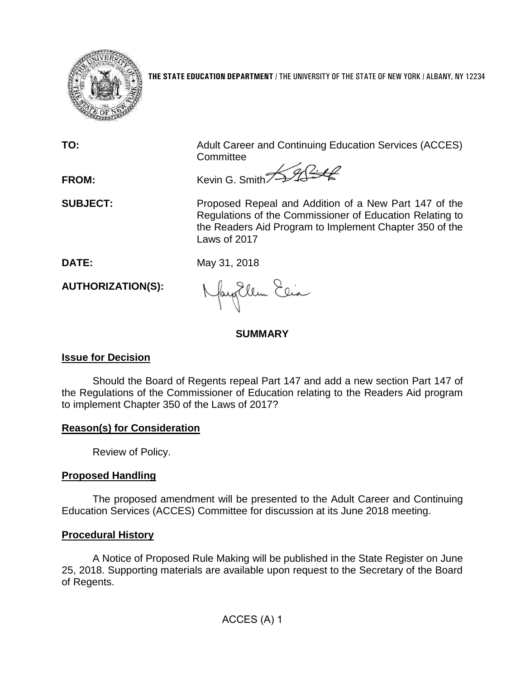

**THE STATE EDUCATION DEPARTMENT** / THE UNIVERSITY OF THE STATE OF NEW YORK / ALBANY, NY 12234

**TO:** Adult Career and Continuing Education Services (ACCES) **Committee** 

FROM: Kevin G. Smith

**SUBJECT:** Proposed Repeal and Addition of a New Part 147 of the Regulations of the Commissioner of Education Relating to the Readers Aid Program to Implement Chapter 350 of the Laws of 2017

**DATE:** May 31, 2018

**AUTHORIZATION(S):**

fayEllen Elia

## **SUMMARY**

### **Issue for Decision**

Should the Board of Regents repeal Part 147 and add a new section Part 147 of the Regulations of the Commissioner of Education relating to the Readers Aid program to implement Chapter 350 of the Laws of 2017?

### **Reason(s) for Consideration**

Review of Policy.

# **Proposed Handling**

The proposed amendment will be presented to the Adult Career and Continuing Education Services (ACCES) Committee for discussion at its June 2018 meeting.

### **Procedural History**

A Notice of Proposed Rule Making will be published in the State Register on June 25, 2018. Supporting materials are available upon request to the Secretary of the Board of Regents.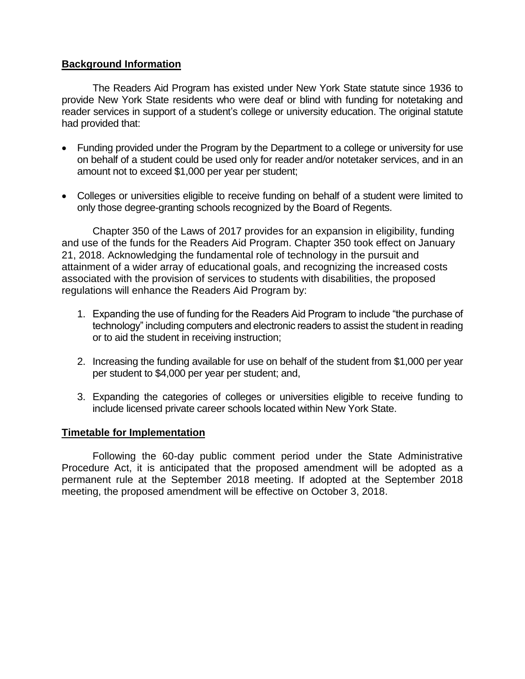#### **Background Information**

The Readers Aid Program has existed under New York State statute since 1936 to provide New York State residents who were deaf or blind with funding for notetaking and reader services in support of a student's college or university education. The original statute had provided that:

- Funding provided under the Program by the Department to a college or university for use on behalf of a student could be used only for reader and/or notetaker services, and in an amount not to exceed \$1,000 per year per student;
- Colleges or universities eligible to receive funding on behalf of a student were limited to only those degree-granting schools recognized by the Board of Regents.

Chapter 350 of the Laws of 2017 provides for an expansion in eligibility, funding and use of the funds for the Readers Aid Program. Chapter 350 took effect on January 21, 2018. Acknowledging the fundamental role of technology in the pursuit and attainment of a wider array of educational goals, and recognizing the increased costs associated with the provision of services to students with disabilities, the proposed regulations will enhance the Readers Aid Program by:

- 1. Expanding the use of funding for the Readers Aid Program to include "the purchase of technology" including computers and electronic readers to assist the student in reading or to aid the student in receiving instruction;
- 2. Increasing the funding available for use on behalf of the student from \$1,000 per year per student to \$4,000 per year per student; and,
- 3. Expanding the categories of colleges or universities eligible to receive funding to include licensed private career schools located within New York State.

#### **Timetable for Implementation**

Following the 60-day public comment period under the State Administrative Procedure Act, it is anticipated that the proposed amendment will be adopted as a permanent rule at the September 2018 meeting. If adopted at the September 2018 meeting, the proposed amendment will be effective on October 3, 2018.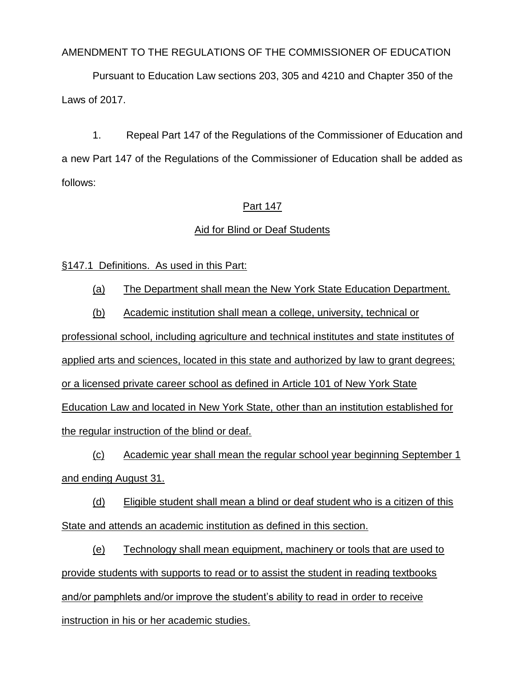AMENDMENT TO THE REGULATIONS OF THE COMMISSIONER OF EDUCATION

Pursuant to Education Law sections 203, 305 and 4210 and Chapter 350 of the Laws of 2017.

1. Repeal Part 147 of the Regulations of the Commissioner of Education and a new Part 147 of the Regulations of the Commissioner of Education shall be added as follows:

### Part 147

### Aid for Blind or Deaf Students

§147.1 Definitions. As used in this Part:

(a) The Department shall mean the New York State Education Department.

(b) Academic institution shall mean a college, university, technical or

professional school, including agriculture and technical institutes and state institutes of applied arts and sciences, located in this state and authorized by law to grant degrees; or a licensed private career school as defined in Article 101 of New York State Education Law and located in New York State, other than an institution established for the regular instruction of the blind or deaf.

(c) Academic year shall mean the regular school year beginning September 1 and ending August 31.

(d) Eligible student shall mean a blind or deaf student who is a citizen of this State and attends an academic institution as defined in this section.

(e) Technology shall mean equipment, machinery or tools that are used to provide students with supports to read or to assist the student in reading textbooks and/or pamphlets and/or improve the student's ability to read in order to receive instruction in his or her academic studies.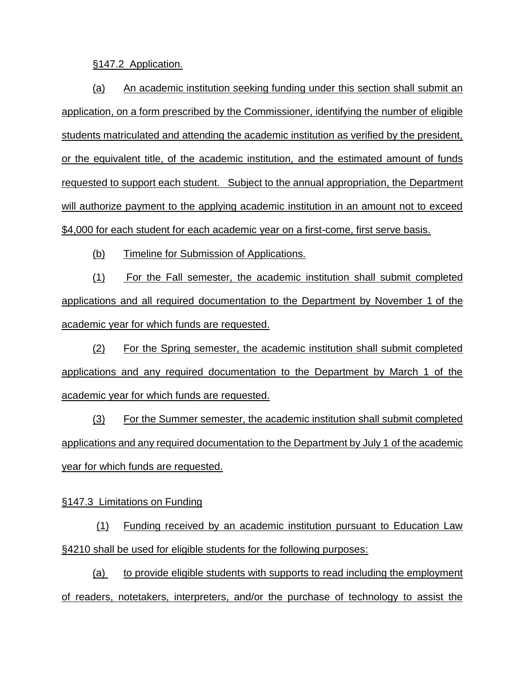§147.2 Application.

(a) An academic institution seeking funding under this section shall submit an application, on a form prescribed by the Commissioner, identifying the number of eligible students matriculated and attending the academic institution as verified by the president, or the equivalent title, of the academic institution, and the estimated amount of funds requested to support each student. Subject to the annual appropriation, the Department will authorize payment to the applying academic institution in an amount not to exceed \$4,000 for each student for each academic year on a first-come, first serve basis.

(b) Timeline for Submission of Applications.

(1) For the Fall semester, the academic institution shall submit completed applications and all required documentation to the Department by November 1 of the academic year for which funds are requested.

(2) For the Spring semester, the academic institution shall submit completed applications and any required documentation to the Department by March 1 of the academic year for which funds are requested.

(3) For the Summer semester, the academic institution shall submit completed applications and any required documentation to the Department by July 1 of the academic year for which funds are requested.

§147.3 Limitations on Funding

(1) Funding received by an academic institution pursuant to Education Law §4210 shall be used for eligible students for the following purposes:

(a) to provide eligible students with supports to read including the employment of readers, notetakers, interpreters, and/or the purchase of technology to assist the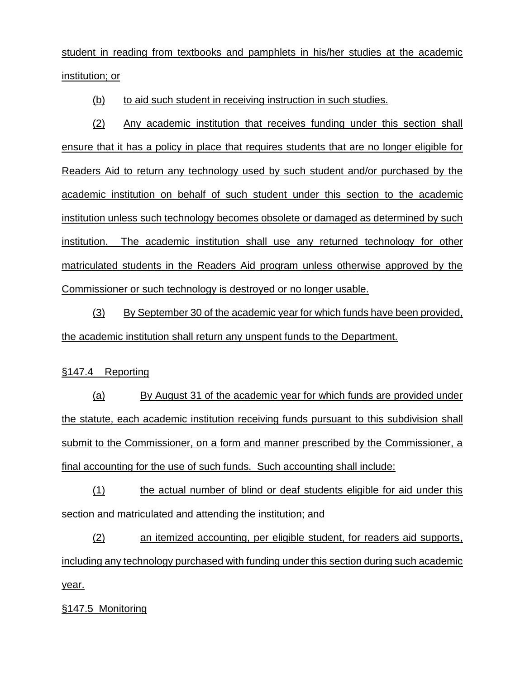student in reading from textbooks and pamphlets in his/her studies at the academic institution; or

(b) to aid such student in receiving instruction in such studies.

(2) Any academic institution that receives funding under this section shall ensure that it has a policy in place that requires students that are no longer eligible for Readers Aid to return any technology used by such student and/or purchased by the academic institution on behalf of such student under this section to the academic institution unless such technology becomes obsolete or damaged as determined by such institution. The academic institution shall use any returned technology for other matriculated students in the Readers Aid program unless otherwise approved by the Commissioner or such technology is destroyed or no longer usable.

(3) By September 30 of the academic year for which funds have been provided, the academic institution shall return any unspent funds to the Department.

#### §147.4 Reporting

(a) By August 31 of the academic year for which funds are provided under the statute, each academic institution receiving funds pursuant to this subdivision shall submit to the Commissioner, on a form and manner prescribed by the Commissioner, a final accounting for the use of such funds. Such accounting shall include:

(1) the actual number of blind or deaf students eligible for aid under this section and matriculated and attending the institution; and

(2) an itemized accounting, per eligible student, for readers aid supports, including any technology purchased with funding under this section during such academic year.

§147.5 Monitoring